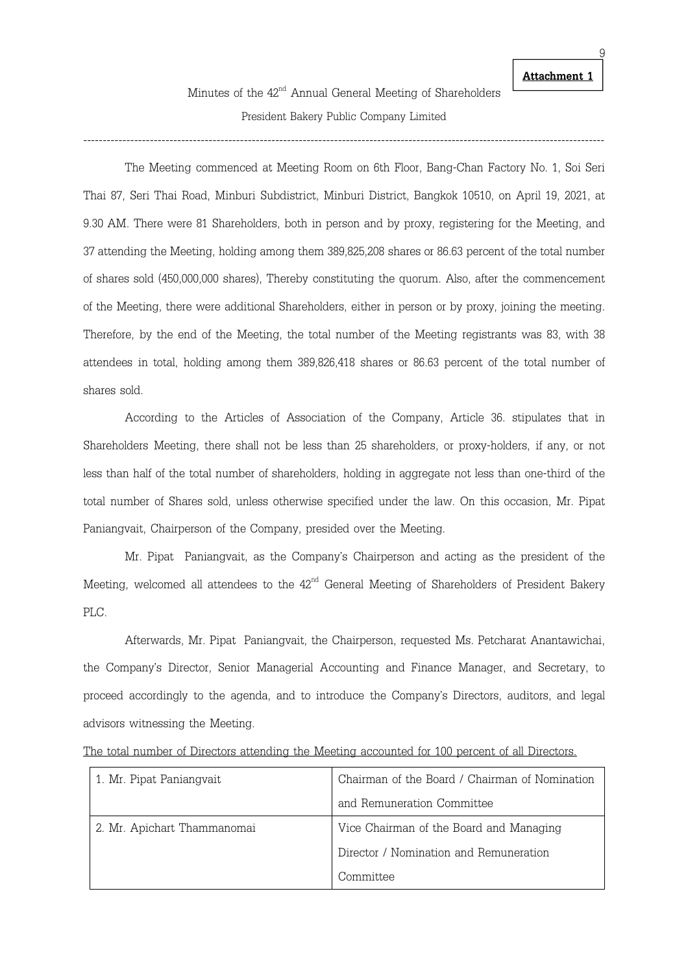-------------------------------------------------------------------------------------------------------------------------------------

The Meeting commenced at Meeting Room on 6th Floor, Bang-Chan Factory No. 1, Soi Seri Thai 87, Seri Thai Road, Minburi Subdistrict, Minburi District, Bangkok 10510, on April 19, 2021, at 9.30 AM. There were 81 Shareholders, both in person and by proxy, registering for the Meeting, and 37 attending the Meeting, holding among them 389,825,208 shares or 86.63 percent of the total number of shares sold (450,000,000 shares), Thereby constituting the quorum. Also, after the commencement of the Meeting, there were additional Shareholders, either in person or by proxy, joining the meeting. Therefore, by the end of the Meeting, the total number of the Meeting registrants was 83, with 38 attendees in total, holding among them 389,826,418 shares or 86.63 percent of the total number of shares sold.

 According to the Articles of Association of the Company, Article 36. stipulates that in Shareholders Meeting, there shall not be less than 25 shareholders, or proxy-holders, if any, or not less than half of the total number of shareholders, holding in aggregate not less than one-third of the total number of Shares sold, unless otherwise specified under the law. On this occasion, Mr. Pipat Paniangvait, Chairperson of the Company, presided over the Meeting.

Mr. Pipat Paniangvait, as the Company's Chairperson and acting as the president of the Meeting, welcomed all attendees to the  $42<sup>nd</sup>$  General Meeting of Shareholders of President Bakery PLC.

Afterwards, Mr. Pipat Paniangvait, the Chairperson, requested Ms. Petcharat Anantawichai, the Company's Director, Senior Managerial Accounting and Finance Manager, and Secretary, to proceed accordingly to the agenda, and to introduce the Company's Directors, auditors, and legal advisors witnessing the Meeting.

|  |  |  |  | The total number of Directors attending the Meeting accounted for 100 percent of all Directors. |  |  |  |
|--|--|--|--|-------------------------------------------------------------------------------------------------|--|--|--|
|  |  |  |  |                                                                                                 |  |  |  |

| 1. Mr. Pipat Paniangvait    | Chairman of the Board / Chairman of Nomination |
|-----------------------------|------------------------------------------------|
|                             | and Remuneration Committee                     |
| 2. Mr. Apichart Thammanomai | Vice Chairman of the Board and Managing        |
|                             | Director / Nomination and Remuneration         |
|                             | Committee                                      |

Attachment 1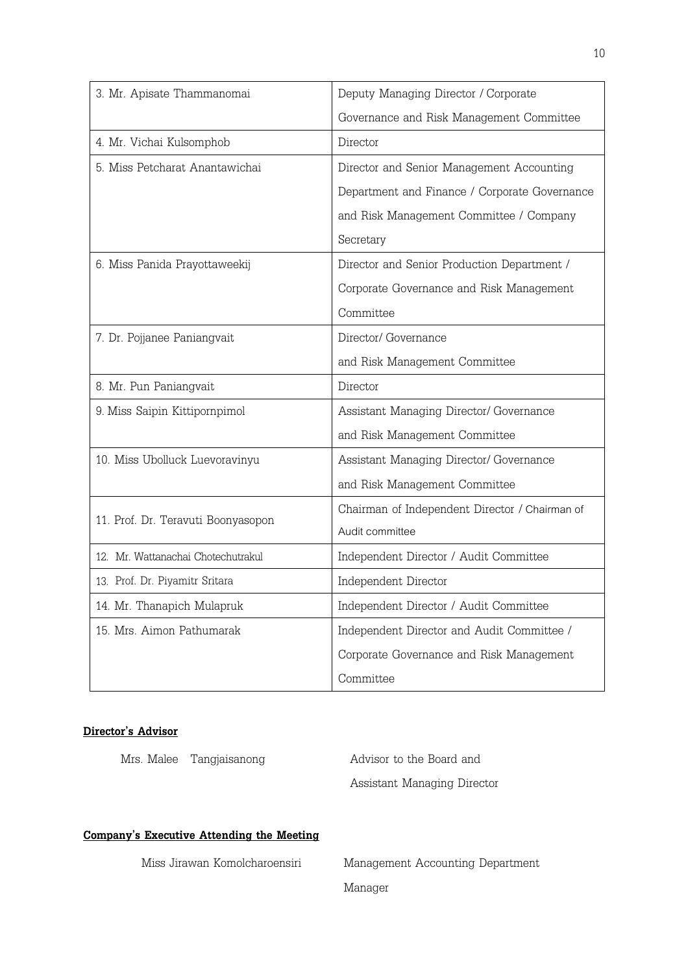| 3. Mr. Apisate Thammanomai         | Deputy Managing Director / Corporate           |
|------------------------------------|------------------------------------------------|
|                                    | Governance and Risk Management Committee       |
| 4. Mr. Vichai Kulsomphob           | Director                                       |
| 5. Miss Petcharat Anantawichai     | Director and Senior Management Accounting      |
|                                    | Department and Finance / Corporate Governance  |
|                                    | and Risk Management Committee / Company        |
|                                    | Secretary                                      |
| 6. Miss Panida Prayottaweekij      | Director and Senior Production Department /    |
|                                    | Corporate Governance and Risk Management       |
|                                    | Committee                                      |
| 7. Dr. Pojjanee Paniangvait        | Director/ Governance                           |
|                                    | and Risk Management Committee                  |
| 8. Mr. Pun Paniangvait             | Director                                       |
| 9. Miss Saipin Kittipornpimol      | Assistant Managing Director/ Governance        |
|                                    | and Risk Management Committee                  |
| 10. Miss Ubolluck Luevoravinyu     | Assistant Managing Director/ Governance        |
|                                    | and Risk Management Committee                  |
| 11. Prof. Dr. Teravuti Boonyasopon | Chairman of Independent Director / Chairman of |
|                                    | Audit committee                                |
| 12. Mr. Wattanachai Chotechutrakul | Independent Director / Audit Committee         |
| 13. Prof. Dr. Piyamitr Sritara     | Independent Director                           |
| 14. Mr. Thanapich Mulapruk         | Independent Director / Audit Committee         |
| 15. Mrs. Aimon Pathumarak          | Independent Director and Audit Committee /     |
|                                    | Corporate Governance and Risk Management       |
|                                    | Committee                                      |

## Director's Advisor

Mrs. Malee Tangjaisanong Mrs. Advisor to the Board and

Assistant Managing Director

## Company's Executive Attending the Meeting

 Miss Jirawan Komolcharoensiri Management Accounting Department Manager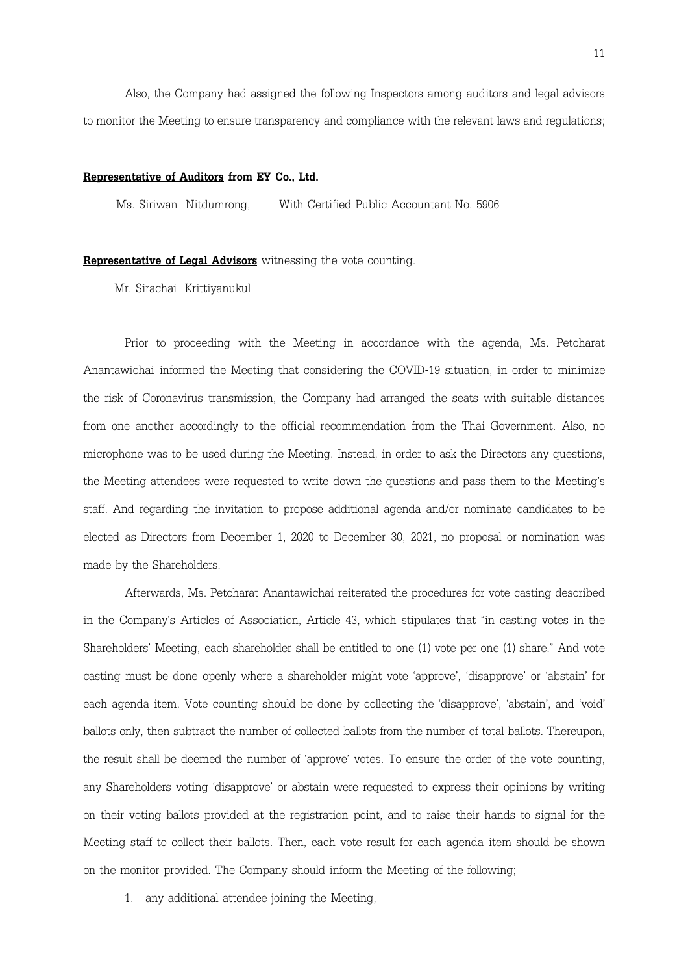Also, the Company had assigned the following Inspectors among auditors and legal advisors to monitor the Meeting to ensure transparency and compliance with the relevant laws and regulations;

#### Representative of Auditors from EY Co., Ltd.

Ms. Siriwan Nitdumrong, With Certified Public Accountant No. 5906

#### Representative of Legal Advisors witnessing the vote counting.

Mr. Sirachai Krittiyanukul

Prior to proceeding with the Meeting in accordance with the agenda, Ms. Petcharat Anantawichai informed the Meeting that considering the COVID-19 situation, in order to minimize the risk of Coronavirus transmission, the Company had arranged the seats with suitable distances from one another accordingly to the official recommendation from the Thai Government. Also, no microphone was to be used during the Meeting. Instead, in order to ask the Directors any questions, the Meeting attendees were requested to write down the questions and pass them to the Meeting's staff. And regarding the invitation to propose additional agenda and/or nominate candidates to be elected as Directors from December 1, 2020 to December 30, 2021, no proposal or nomination was made by the Shareholders.

 Afterwards, Ms. Petcharat Anantawichai reiterated the procedures for vote casting described in the Company's Articles of Association, Article 43, which stipulates that "in casting votes in the Shareholders' Meeting, each shareholder shall be entitled to one (1) vote per one (1) share." And vote casting must be done openly where a shareholder might vote 'approve', 'disapprove' or 'abstain' for each agenda item. Vote counting should be done by collecting the 'disapprove', 'abstain', and 'void' ballots only, then subtract the number of collected ballots from the number of total ballots. Thereupon, the result shall be deemed the number of 'approve' votes. To ensure the order of the vote counting, any Shareholders voting 'disapprove' or abstain were requested to express their opinions by writing on their voting ballots provided at the registration point, and to raise their hands to signal for the Meeting staff to collect their ballots. Then, each vote result for each agenda item should be shown on the monitor provided. The Company should inform the Meeting of the following;

1. any additional attendee joining the Meeting,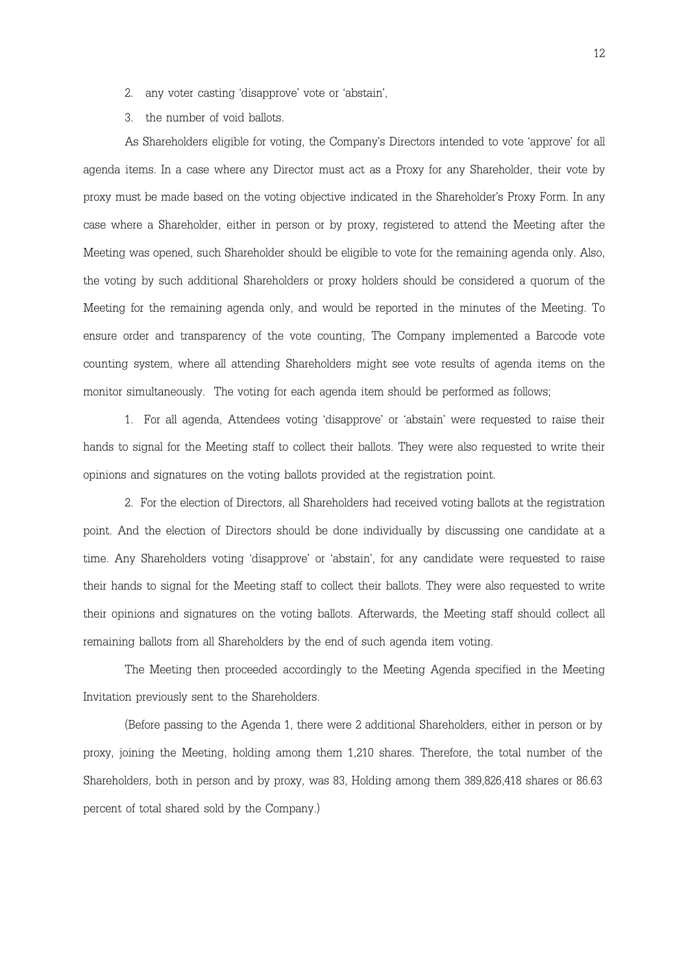- 2. any voter casting 'disapprove' vote or 'abstain',
- 3. the number of void ballots.

 As Shareholders eligible for voting, the Company's Directors intended to vote 'approve' for all agenda items. In a case where any Director must act as a Proxy for any Shareholder, their vote by proxy must be made based on the voting objective indicated in the Shareholder's Proxy Form. In any case where a Shareholder, either in person or by proxy, registered to attend the Meeting after the Meeting was opened, such Shareholder should be eligible to vote for the remaining agenda only. Also, the voting by such additional Shareholders or proxy holders should be considered a quorum of the Meeting for the remaining agenda only, and would be reported in the minutes of the Meeting. To ensure order and transparency of the vote counting, The Company implemented a Barcode vote counting system, where all attending Shareholders might see vote results of agenda items on the monitor simultaneously. The voting for each agenda item should be performed as follows;

1. For all agenda, Attendees voting 'disapprove' or 'abstain' were requested to raise their hands to signal for the Meeting staff to collect their ballots. They were also requested to write their opinions and signatures on the voting ballots provided at the registration point.

2. For the election of Directors, all Shareholders had received voting ballots at the registration point. And the election of Directors should be done individually by discussing one candidate at a time. Any Shareholders voting 'disapprove' or 'abstain', for any candidate were requested to raise their hands to signal for the Meeting staff to collect their ballots. They were also requested to write their opinions and signatures on the voting ballots. Afterwards, the Meeting staff should collect all remaining ballots from all Shareholders by the end of such agenda item voting.

The Meeting then proceeded accordingly to the Meeting Agenda specified in the Meeting Invitation previously sent to the Shareholders.

(Before passing to the Agenda 1, there were 2 additional Shareholders, either in person or by proxy, joining the Meeting, holding among them 1,210 shares. Therefore, the total number of the Shareholders, both in person and by proxy, was 83, Holding among them 389,826,418 shares or 86.63 percent of total shared sold by the Company.)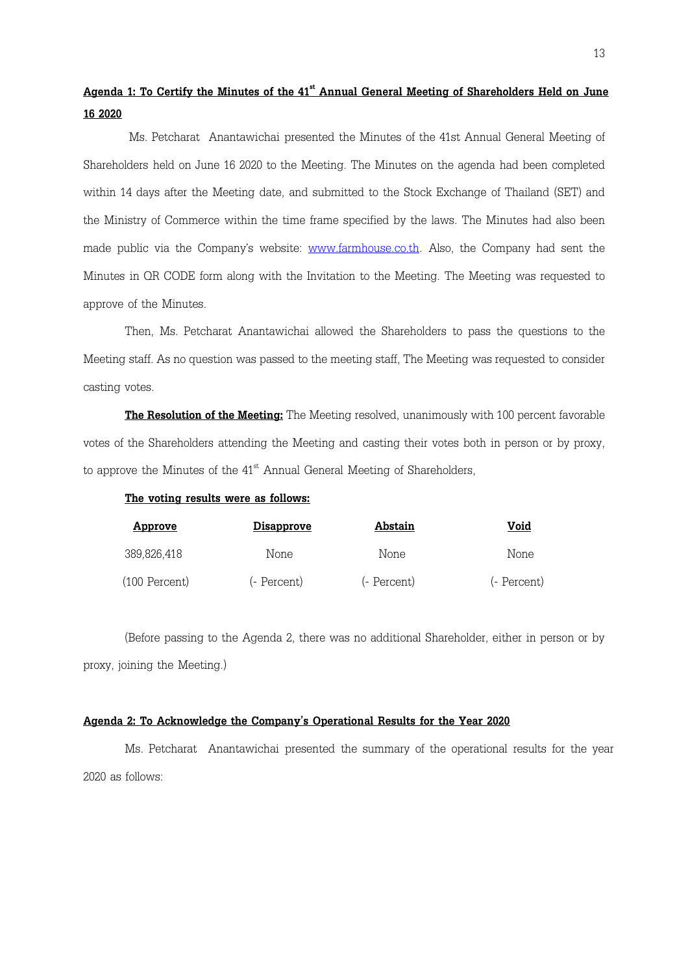## Agenda 1: To Certify the Minutes of the 41<sup>st</sup> Annual General Meeting of Shareholders Held on June 16 2020

 Ms. Petcharat Anantawichai presented the Minutes of the 41st Annual General Meeting of Shareholders held on June 16 2020 to the Meeting. The Minutes on the agenda had been completed within 14 days after the Meeting date, and submitted to the Stock Exchange of Thailand (SET) and the Ministry of Commerce within the time frame specified by the laws. The Minutes had also been made public via the Company's website: www.farmhouse.co.th. Also, the Company had sent the Minutes in QR CODE form along with the Invitation to the Meeting. The Meeting was requested to approve of the Minutes.

 Then, Ms. Petcharat Anantawichai allowed the Shareholders to pass the questions to the Meeting staff. As no question was passed to the meeting staff, The Meeting was requested to consider casting votes.

**The Resolution of the Meeting:** The Meeting resolved, unanimously with 100 percent favorable votes of the Shareholders attending the Meeting and casting their votes both in person or by proxy, to approve the Minutes of the  $41<sup>st</sup>$  Annual General Meeting of Shareholders,

#### The voting results were as follows:

| <u>Approve</u>  | <u>Disapprove</u> | Abstain     | Void        |
|-----------------|-------------------|-------------|-------------|
| 389,826,418     | None              | None        | None        |
| $(100$ Percent) | (- Percent)       | (- Percent) | (- Percent) |

(Before passing to the Agenda 2, there was no additional Shareholder, either in person or by proxy, joining the Meeting.)

#### Agenda 2: To Acknowledge the Company's Operational Results for the Year 2020

Ms. Petcharat Anantawichai presented the summary of the operational results for the year 2020 as follows: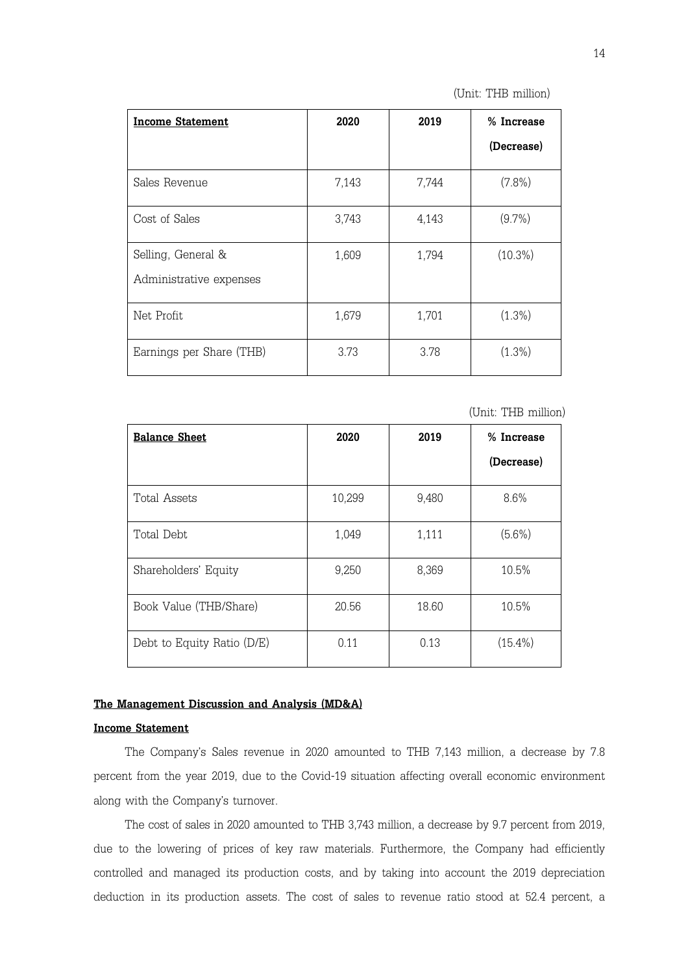| (Unit: THB million) |
|---------------------|
|---------------------|

| <b>Income Statement</b>  | 2020  | 2019  | % Increase |
|--------------------------|-------|-------|------------|
|                          |       |       | (Decrease) |
| Sales Revenue            | 7,143 | 7,744 | $(7.8\%)$  |
| Cost of Sales            | 3,743 | 4,143 | $(9.7\%)$  |
| Selling, General &       | 1,609 | 1,794 | $(10.3\%)$ |
| Administrative expenses  |       |       |            |
| Net Profit               | 1,679 | 1,701 | $(1.3\%)$  |
| Earnings per Share (THB) | 3.73  | 3.78  | $(1.3\%)$  |

(Unit: THB million)

| <b>Balance Sheet</b>       | 2020   | 2019  | % Increase |
|----------------------------|--------|-------|------------|
|                            |        |       | (Decrease) |
| Total Assets               | 10,299 | 9,480 | 8.6%       |
| Total Debt                 | 1,049  | 1,111 | $(5.6\%)$  |
| Shareholders' Equity       | 9,250  | 8,369 | 10.5%      |
| Book Value (THB/Share)     | 20.56  | 18.60 | 10.5%      |
| Debt to Equity Ratio (D/E) | 0.11   | 0.13  | $(15.4\%)$ |

### The Management Discussion and Analysis (MD&A)

### Income Statement

The Company's Sales revenue in 2020 amounted to THB 7,143 million, a decrease by 7.8 percent from the year 2019, due to the Covid-19 situation affecting overall economic environment along with the Company's turnover.

The cost of sales in 2020 amounted to THB 3,743 million, a decrease by 9.7 percent from 2019, due to the lowering of prices of key raw materials. Furthermore, the Company had efficiently controlled and managed its production costs, and by taking into account the 2019 depreciation deduction in its production assets. The cost of sales to revenue ratio stood at 52.4 percent, a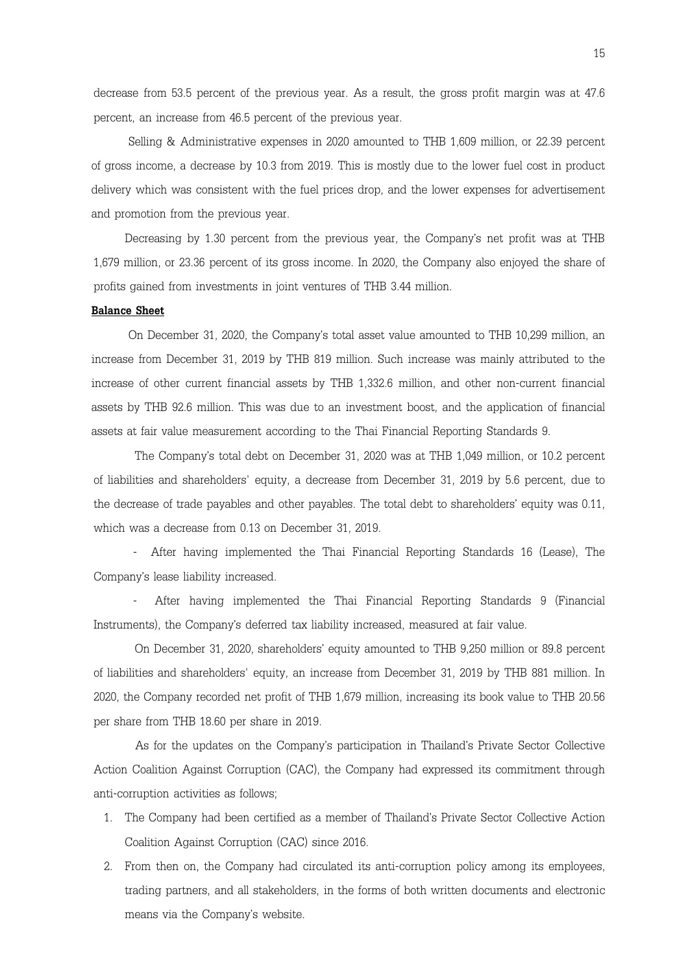decrease from 53.5 percent of the previous year. As a result, the gross profit margin was at 47.6 percent, an increase from 46.5 percent of the previous year.

 Selling & Administrative expenses in 2020 amounted to THB 1,609 million, or 22.39 percent of gross income, a decrease by 10.3 from 2019. This is mostly due to the lower fuel cost in product delivery which was consistent with the fuel prices drop, and the lower expenses for advertisement and promotion from the previous year.

 Decreasing by 1.30 percent from the previous year, the Company's net profit was at THB 1,679 million, or 23.36 percent of its gross income. In 2020, the Company also enjoyed the share of profits gained from investments in joint ventures of THB 3.44 million.

#### Balance Sheet

 On December 31, 2020, the Company's total asset value amounted to THB 10,299 million, an increase from December 31, 2019 by THB 819 million. Such increase was mainly attributed to the increase of other current financial assets by THB 1,332.6 million, and other non-current financial assets by THB 92.6 million. This was due to an investment boost, and the application of financial assets at fair value measurement according to the Thai Financial Reporting Standards 9.

 The Company's total debt on December 31, 2020 was at THB 1,049 million, or 10.2 percent of liabilities and shareholders' equity, a decrease from December 31, 2019 by 5.6 percent, due to the decrease of trade payables and other payables. The total debt to shareholders' equity was 0.11, which was a decrease from 0.13 on December 31, 2019.

 - After having implemented the Thai Financial Reporting Standards 16 (Lease), The Company's lease liability increased.

 - After having implemented the Thai Financial Reporting Standards 9 (Financial Instruments), the Company's deferred tax liability increased, measured at fair value.

 On December 31, 2020, shareholders' equity amounted to THB 9,250 million or 89.8 percent of liabilities and shareholders' equity, an increase from December 31, 2019 by THB 881 million. In 2020, the Company recorded net profit of THB 1,679 million, increasing its book value to THB 20.56 per share from THB 18.60 per share in 2019.

As for the updates on the Company's participation in Thailand's Private Sector Collective Action Coalition Against Corruption (CAC), the Company had expressed its commitment through anti-corruption activities as follows;

- 1. The Company had been certified as a member of Thailand's Private Sector Collective Action Coalition Against Corruption (CAC) since 2016.
- 2. From then on, the Company had circulated its anti-corruption policy among its employees, trading partners, and all stakeholders, in the forms of both written documents and electronic means via the Company's website.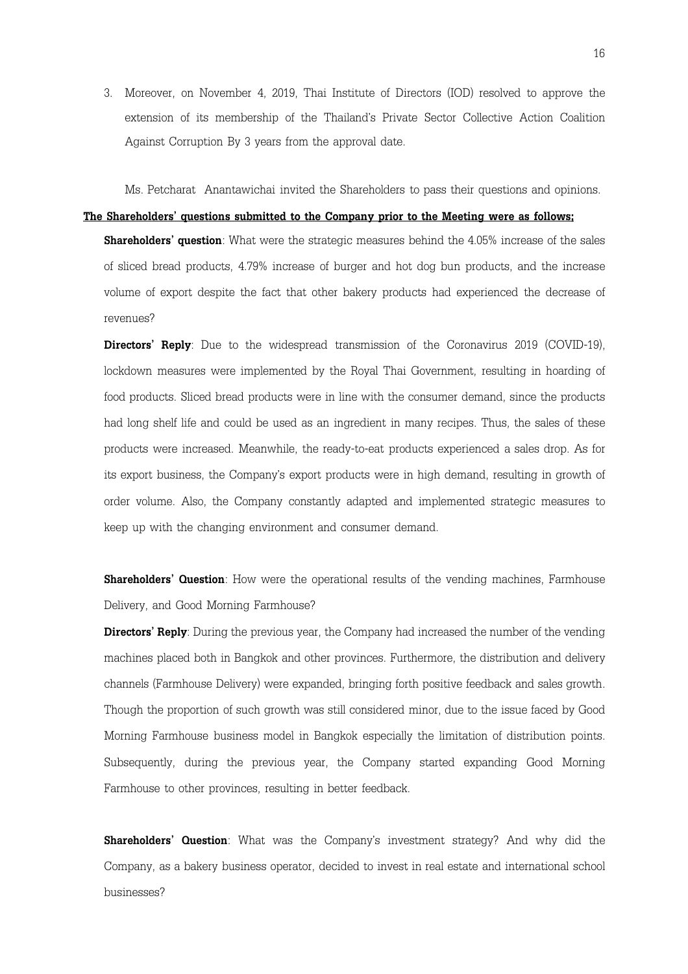3. Moreover, on November 4, 2019, Thai Institute of Directors (IOD) resolved to approve the extension of its membership of the Thailand's Private Sector Collective Action Coalition Against Corruption By 3 years from the approval date.

Ms. Petcharat Anantawichai invited the Shareholders to pass their questions and opinions.

#### The Shareholders' questions submitted to the Company prior to the Meeting were as follows;

**Shareholders' question**: What were the strategic measures behind the 4.05% increase of the sales of sliced bread products, 4.79% increase of burger and hot dog bun products, and the increase volume of export despite the fact that other bakery products had experienced the decrease of revenues?

Directors' Reply: Due to the widespread transmission of the Coronavirus 2019 (COVID-19), lockdown measures were implemented by the Royal Thai Government, resulting in hoarding of food products. Sliced bread products were in line with the consumer demand, since the products had long shelf life and could be used as an ingredient in many recipes. Thus, the sales of these products were increased. Meanwhile, the ready-to-eat products experienced a sales drop. As for its export business, the Company's export products were in high demand, resulting in growth of order volume. Also, the Company constantly adapted and implemented strategic measures to keep up with the changing environment and consumer demand.

**Shareholders' Question**: How were the operational results of the vending machines, Farmhouse Delivery, and Good Morning Farmhouse?

Directors' Reply: During the previous year, the Company had increased the number of the vending machines placed both in Bangkok and other provinces. Furthermore, the distribution and delivery channels (Farmhouse Delivery) were expanded, bringing forth positive feedback and sales growth. Though the proportion of such growth was still considered minor, due to the issue faced by Good Morning Farmhouse business model in Bangkok especially the limitation of distribution points. Subsequently, during the previous year, the Company started expanding Good Morning Farmhouse to other provinces, resulting in better feedback.

Shareholders' Question: What was the Company's investment strategy? And why did the Company, as a bakery business operator, decided to invest in real estate and international school businesses?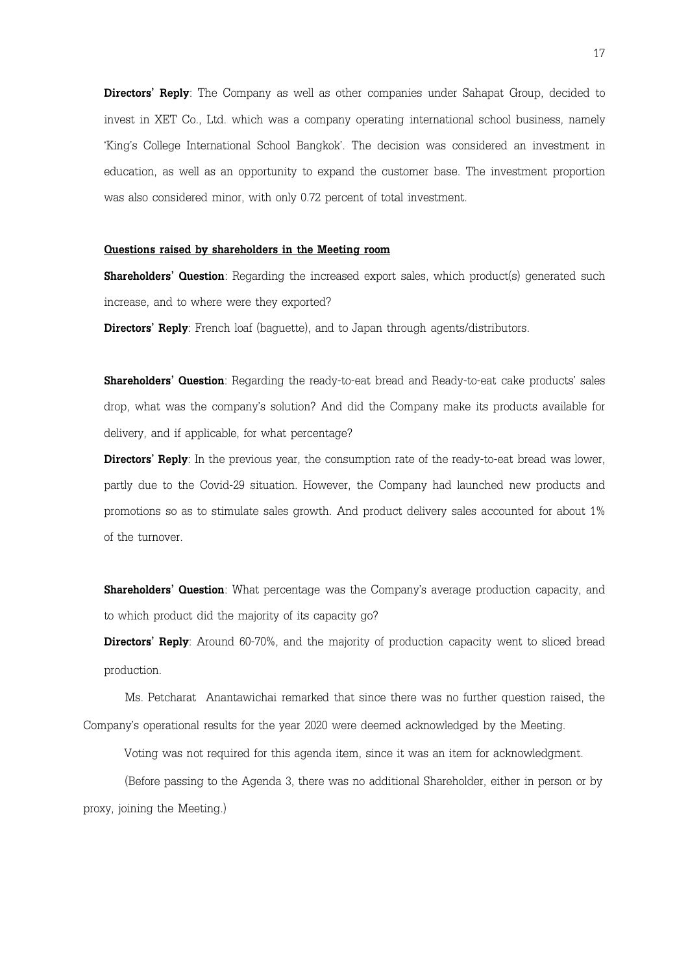Directors' Reply: The Company as well as other companies under Sahapat Group, decided to invest in XET Co., Ltd. which was a company operating international school business, namely 'King's College International School Bangkok'. The decision was considered an investment in education, as well as an opportunity to expand the customer base. The investment proportion was also considered minor, with only 0.72 percent of total investment.

#### Questions raised by shareholders in the Meeting room

**Shareholders' Question**: Regarding the increased export sales, which product(s) generated such increase, and to where were they exported?

Directors' Reply: French loaf (baquette), and to Japan through agents/distributors.

Shareholders' Question: Regarding the ready-to-eat bread and Ready-to-eat cake products' sales drop, what was the company's solution? And did the Company make its products available for delivery, and if applicable, for what percentage?

Directors' Reply: In the previous year, the consumption rate of the ready-to-eat bread was lower, partly due to the Covid-29 situation. However, the Company had launched new products and promotions so as to stimulate sales growth. And product delivery sales accounted for about 1% of the turnover.

Shareholders' Question: What percentage was the Company's average production capacity, and to which product did the majority of its capacity go?

**Directors' Reply**: Around 60-70%, and the majority of production capacity went to sliced bread production.

 Ms. Petcharat Anantawichai remarked that since there was no further question raised, the Company's operational results for the year 2020 were deemed acknowledged by the Meeting.

Voting was not required for this agenda item, since it was an item for acknowledgment.

 (Before passing to the Agenda 3, there was no additional Shareholder, either in person or by proxy, joining the Meeting.)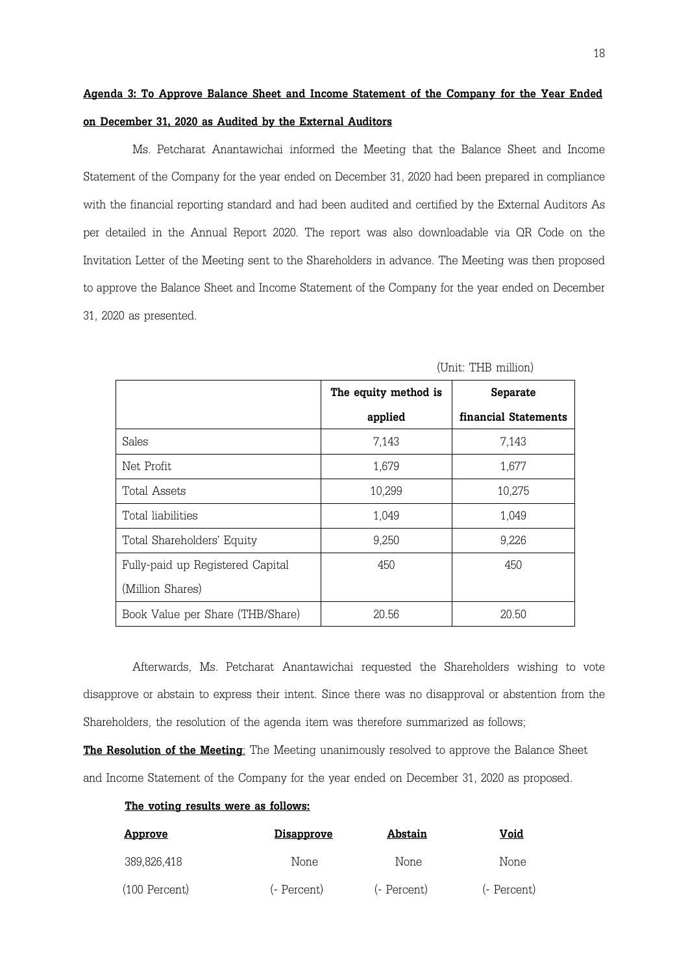# Agenda 3: To Approve Balance Sheet and Income Statement of the Company for the Year Ended on December 31, 2020 as Audited by the External Auditors

 Ms. Petcharat Anantawichai informed the Meeting that the Balance Sheet and Income Statement of the Company for the year ended on December 31, 2020 had been prepared in compliance with the financial reporting standard and had been audited and certified by the External Auditors As per detailed in the Annual Report 2020. The report was also downloadable via QR Code on the Invitation Letter of the Meeting sent to the Shareholders in advance. The Meeting was then proposed to approve the Balance Sheet and Income Statement of the Company for the year ended on December 31, 2020 as presented.

|                                  | The equity method is | Separate             |
|----------------------------------|----------------------|----------------------|
|                                  | applied              | financial Statements |
| Sales                            | 7,143                | 7,143                |
| Net Profit                       | 1,679                | 1,677                |
| Total Assets                     | 10,299               | 10,275               |
| Total liabilities                | 1,049                | 1,049                |
| Total Shareholders' Equity       | 9,250                | 9,226                |
| Fully-paid up Registered Capital | 450                  | 450                  |
| (Million Shares)                 |                      |                      |
| Book Value per Share (THB/Share) | 20.56                | 20.50                |

(Unit: THB million)

Afterwards, Ms. Petcharat Anantawichai requested the Shareholders wishing to vote disapprove or abstain to express their intent. Since there was no disapproval or abstention from the Shareholders, the resolution of the agenda item was therefore summarized as follows;

The Resolution of the Meeting: The Meeting unanimously resolved to approve the Balance Sheet and Income Statement of the Company for the year ended on December 31, 2020 as proposed.

#### The voting results were as follows:

| <u>Approve</u>  | <u>Disapprove</u> | Abstain     | Void        |
|-----------------|-------------------|-------------|-------------|
| 389,826,418     | None              | None        | None        |
| $(100$ Percent) | (- Percent)       | (- Percent) | (- Percent) |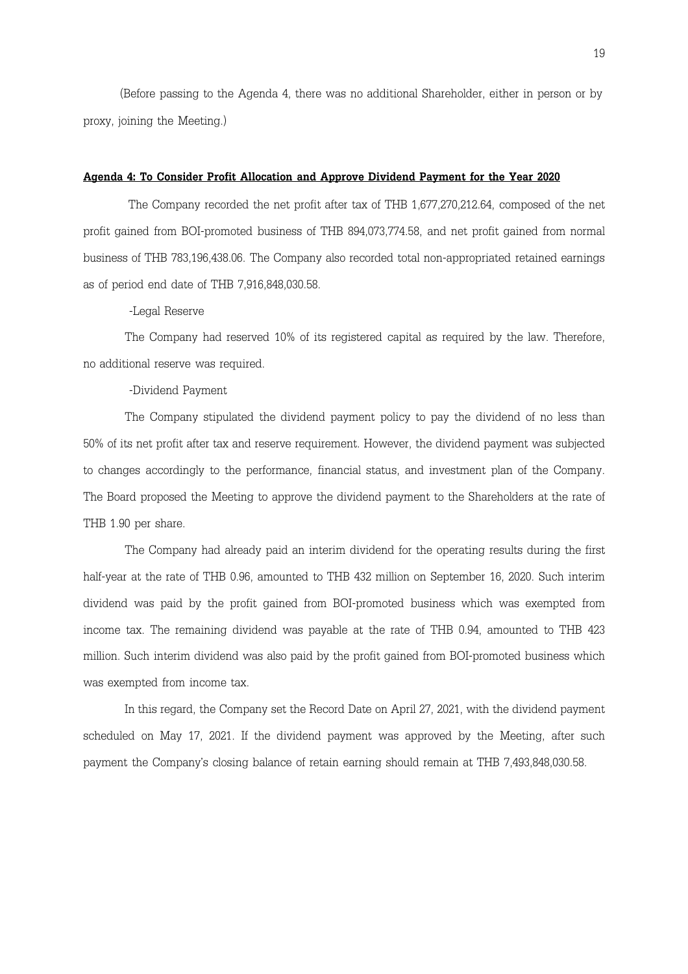(Before passing to the Agenda 4, there was no additional Shareholder, either in person or by proxy, joining the Meeting.)

#### Agenda 4: To Consider Profit Allocation and Approve Dividend Payment for the Year 2020

 The Company recorded the net profit after tax of THB 1,677,270,212.64, composed of the net profit gained from BOI-promoted business of THB 894,073,774.58, and net profit gained from normal business of THB 783,196,438.06. The Company also recorded total non-appropriated retained earnings as of period end date of THB 7,916,848,030.58.

-Legal Reserve

The Company had reserved 10% of its registered capital as required by the law. Therefore, no additional reserve was required.

#### -Dividend Payment

The Company stipulated the dividend payment policy to pay the dividend of no less than 50% of its net profit after tax and reserve requirement. However, the dividend payment was subjected to changes accordingly to the performance, financial status, and investment plan of the Company. The Board proposed the Meeting to approve the dividend payment to the Shareholders at the rate of THB 1.90 per share.

The Company had already paid an interim dividend for the operating results during the first half-year at the rate of THB 0.96, amounted to THB 432 million on September 16, 2020. Such interim dividend was paid by the profit gained from BOI-promoted business which was exempted from income tax. The remaining dividend was payable at the rate of THB 0.94, amounted to THB 423 million. Such interim dividend was also paid by the profit gained from BOI-promoted business which was exempted from income tax.

In this regard, the Company set the Record Date on April 27, 2021, with the dividend payment scheduled on May 17, 2021. If the dividend payment was approved by the Meeting, after such payment the Company's closing balance of retain earning should remain at THB 7,493,848,030.58.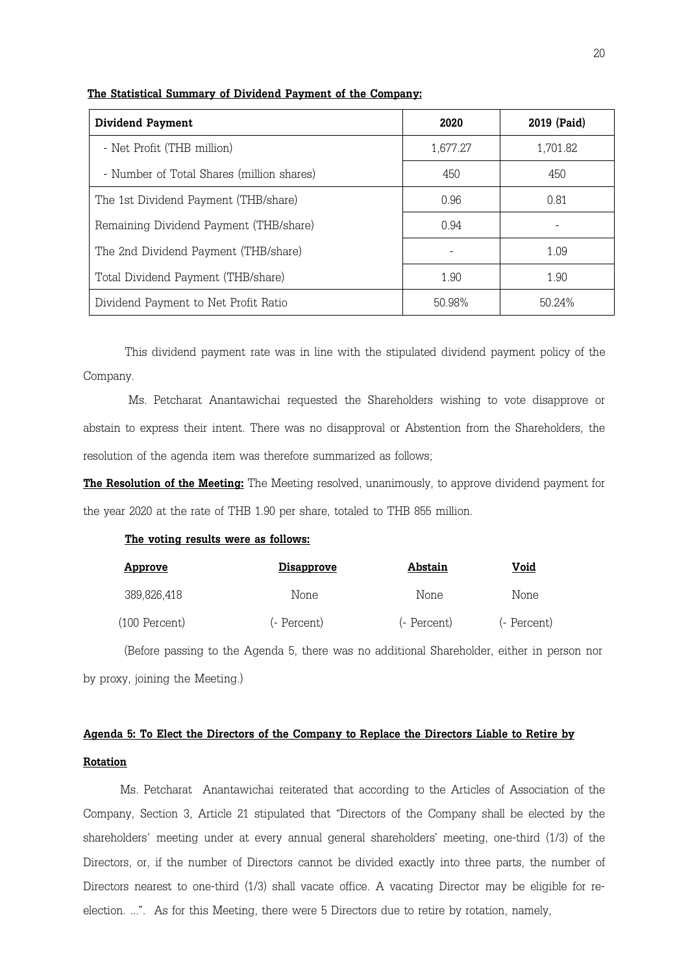| <b>Dividend Payment</b>                   | 2020     | 2019 (Paid) |
|-------------------------------------------|----------|-------------|
| - Net Profit (THB million)                | 1,677.27 | 1,701.82    |
| - Number of Total Shares (million shares) | 450      | 450         |
| The 1st Dividend Payment (THB/share)      | 0.96     | 0.81        |
| Remaining Dividend Payment (THB/share)    | 0.94     |             |
| The 2nd Dividend Payment (THB/share)      |          | 1.09        |
| Total Dividend Payment (THB/share)        | 190      | 190         |
| Dividend Payment to Net Profit Ratio      | 50.98%   | 50.24%      |

#### The Statistical Summary of Dividend Payment of the Company:

This dividend payment rate was in line with the stipulated dividend payment policy of the Company.

 Ms. Petcharat Anantawichai requested the Shareholders wishing to vote disapprove or abstain to express their intent. There was no disapproval or Abstention from the Shareholders, the resolution of the agenda item was therefore summarized as follows;

**The Resolution of the Meeting:** The Meeting resolved, unanimously, to approve dividend payment for the year 2020 at the rate of THB 1.90 per share, totaled to THB 855 million.

#### The voting results were as follows:

| Approve       | <u>Disapprove</u> | Abstain     | Void        |
|---------------|-------------------|-------------|-------------|
| 389,826,418   | None              | None        | None        |
| (100 Percent) | (- Percent)       | (- Percent) | (- Percent) |

 (Before passing to the Agenda 5, there was no additional Shareholder, either in person nor by proxy, joining the Meeting.)

# Agenda 5: To Elect the Directors of the Company to Replace the Directors Liable to Retire by **Rotation**

 Ms. Petcharat Anantawichai reiterated that according to the Articles of Association of the Company, Section 3, Article 21 stipulated that "Directors of the Company shall be elected by the shareholders' meeting under at every annual general shareholders' meeting, one-third (1/3) of the Directors, or, if the number of Directors cannot be divided exactly into three parts, the number of Directors nearest to one-third (1/3) shall vacate office. A vacating Director may be eligible for reelection. ...". As for this Meeting, there were 5 Directors due to retire by rotation, namely,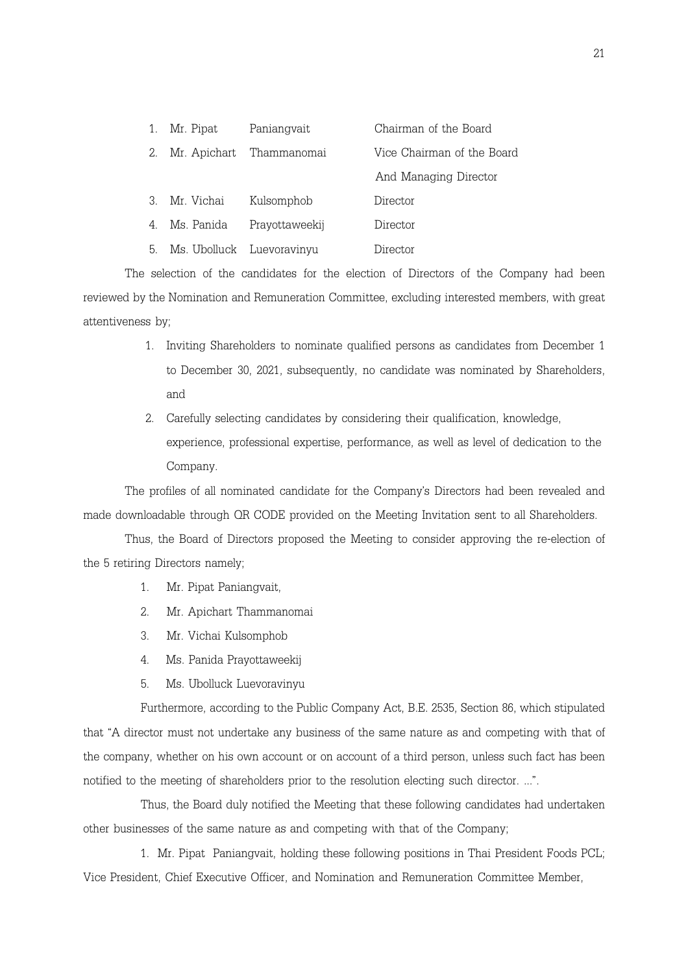| 1. | Mr. Pipat  | Paniangvait              | Chairman of the Board      |
|----|------------|--------------------------|----------------------------|
| 2. |            | Mr. Apichart Thammanomai | Vice Chairman of the Board |
|    |            |                          | And Managing Director      |
|    |            |                          |                            |
| 3  | Mr. Vichai | Kulsomphob               | Director                   |
| 4. | Ms. Panida | Prayottaweekij           | Director                   |

The selection of the candidates for the election of Directors of the Company had been reviewed by the Nomination and Remuneration Committee, excluding interested members, with great attentiveness by;

- 1. Inviting Shareholders to nominate qualified persons as candidates from December 1 to December 30, 2021, subsequently, no candidate was nominated by Shareholders, and
- 2. Carefully selecting candidates by considering their qualification, knowledge, experience, professional expertise, performance, as well as level of dedication to the Company.

The profiles of all nominated candidate for the Company's Directors had been revealed and made downloadable through QR CODE provided on the Meeting Invitation sent to all Shareholders.

Thus, the Board of Directors proposed the Meeting to consider approving the re-election of the 5 retiring Directors namely;

- 1. Mr. Pipat Paniangvait,
- 2. Mr. Apichart Thammanomai
- 3. Mr. Vichai Kulsomphob
- 4. Ms. Panida Prayottaweekij
- 5. Ms. Ubolluck Luevoravinyu

Furthermore, according to the Public Company Act, B.E. 2535, Section 86, which stipulated that "A director must not undertake any business of the same nature as and competing with that of the company, whether on his own account or on account of a third person, unless such fact has been notified to the meeting of shareholders prior to the resolution electing such director. ...".

Thus, the Board duly notified the Meeting that these following candidates had undertaken other businesses of the same nature as and competing with that of the Company;

1. Mr. Pipat Paniangvait, holding these following positions in Thai President Foods PCL; Vice President, Chief Executive Officer, and Nomination and Remuneration Committee Member,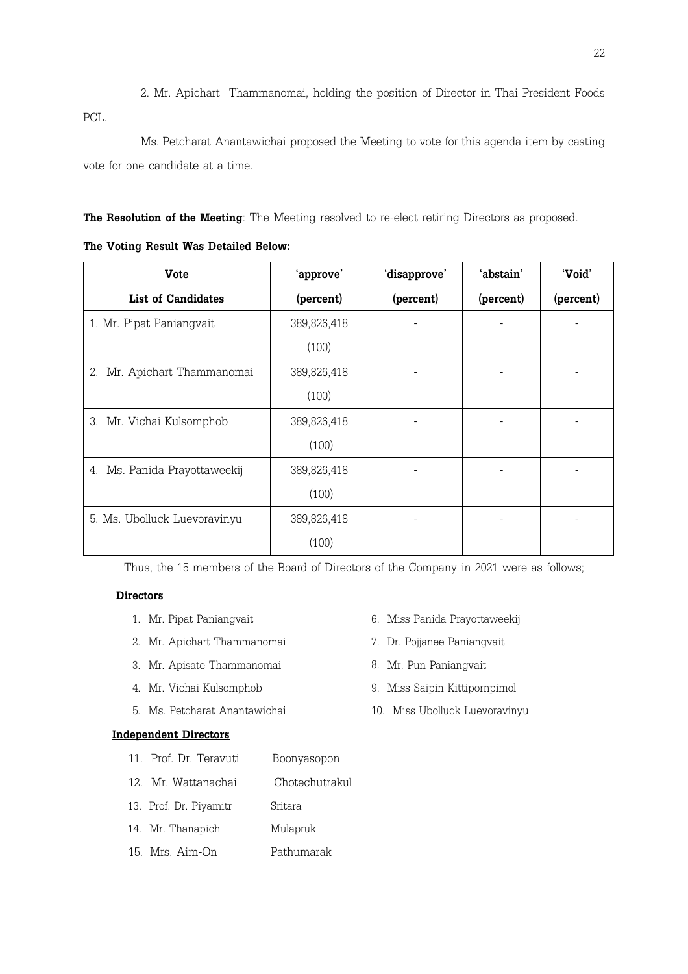2. Mr. Apichart Thammanomai, holding the position of Director in Thai President Foods PCL.

Ms. Petcharat Anantawichai proposed the Meeting to vote for this agenda item by casting vote for one candidate at a time.

The Resolution of the Meeting: The Meeting resolved to re-elect retiring Directors as proposed.

The Voting Result Was Detailed Below:

| <b>Vote</b>                     | 'approve'   | 'disapprove' | 'abstain' | 'Void'    |
|---------------------------------|-------------|--------------|-----------|-----------|
| <b>List of Candidates</b>       | (percent)   | (percent)    | (percent) | (percent) |
| 1. Mr. Pipat Paniangvait        | 389,826,418 |              |           |           |
|                                 | (100)       |              |           |           |
| Mr. Apichart Thammanomai<br>2.  | 389,826,418 |              |           |           |
|                                 | (100)       |              |           |           |
| 3. Mr. Vichai Kulsomphob        | 389,826,418 |              |           |           |
|                                 | (100)       |              |           |           |
| Ms. Panida Prayottaweekij<br>4. | 389,826,418 |              |           |           |
|                                 | (100)       |              |           |           |
| 5. Ms. Ubolluck Luevoravinyu    | 389,826,418 |              |           |           |
|                                 | (100)       |              |           |           |

Thus, the 15 members of the Board of Directors of the Company in 2021 were as follows;

### **Directors**

- 
- 2. Mr. Apichart Thammanomai **7. Dr. Pojjanee Paniangvait**
- 3. Mr. Apisate Thammanomai 8. Mr. Pun Paniangvait
- 
- 

### Independent Directors

- 11. Prof. Dr. Teravuti Boonyasopon
- 12. Mr. Wattanachai Chotechutrakul
- 13. Prof. Dr. Piyamitr Sritara
- 14. Mr. Thanapich Mulapruk
- 15. Mrs. Aim-On Pathumarak
- 1. Mr. Pipat Paniangvait 6. Miss Panida Prayottaweekij
	-
	-
- 4. Mr. Vichai Kulsomphob 9. Miss Saipin Kittipornpimol
- 5. Ms. Petcharat Anantawichai 10. Miss Ubolluck Luevoravinyu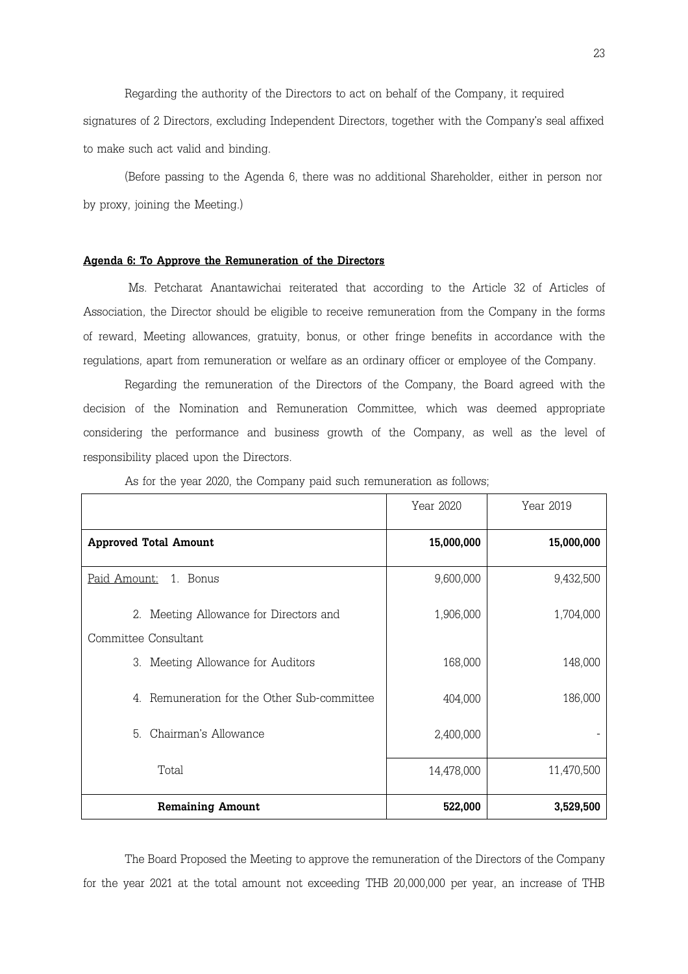Regarding the authority of the Directors to act on behalf of the Company, it required signatures of 2 Directors, excluding Independent Directors, together with the Company's seal affixed to make such act valid and binding.

 (Before passing to the Agenda 6, there was no additional Shareholder, either in person nor by proxy, joining the Meeting.)

#### Agenda 6: To Approve the Remuneration of the Directors

 Ms. Petcharat Anantawichai reiterated that according to the Article 32 of Articles of Association, the Director should be eligible to receive remuneration from the Company in the forms of reward, Meeting allowances, gratuity, bonus, or other fringe benefits in accordance with the regulations, apart from remuneration or welfare as an ordinary officer or employee of the Company.

Regarding the remuneration of the Directors of the Company, the Board agreed with the decision of the Nomination and Remuneration Committee, which was deemed appropriate considering the performance and business growth of the Company, as well as the level of responsibility placed upon the Directors.

|                                               | Year 2020  | Year 2019  |
|-----------------------------------------------|------------|------------|
| <b>Approved Total Amount</b>                  | 15,000,000 | 15,000,000 |
| 1. Bonus<br><u>Paid Amount:</u>               | 9,600,000  | 9,432,500  |
| 2. Meeting Allowance for Directors and        | 1,906,000  | 1,704,000  |
| Committee Consultant                          |            |            |
| 3. Meeting Allowance for Auditors             | 168,000    | 148,000    |
| Remuneration for the Other Sub-committee<br>4 | 404,000    | 186,000    |
| Chairman's Allowance<br>5.                    | 2,400,000  |            |
| Total                                         | 14,478,000 | 11,470,500 |
| <b>Remaining Amount</b>                       | 522,000    | 3,529,500  |

As for the year 2020, the Company paid such remuneration as follows;

The Board Proposed the Meeting to approve the remuneration of the Directors of the Company for the year 2021 at the total amount not exceeding THB 20,000,000 per year, an increase of THB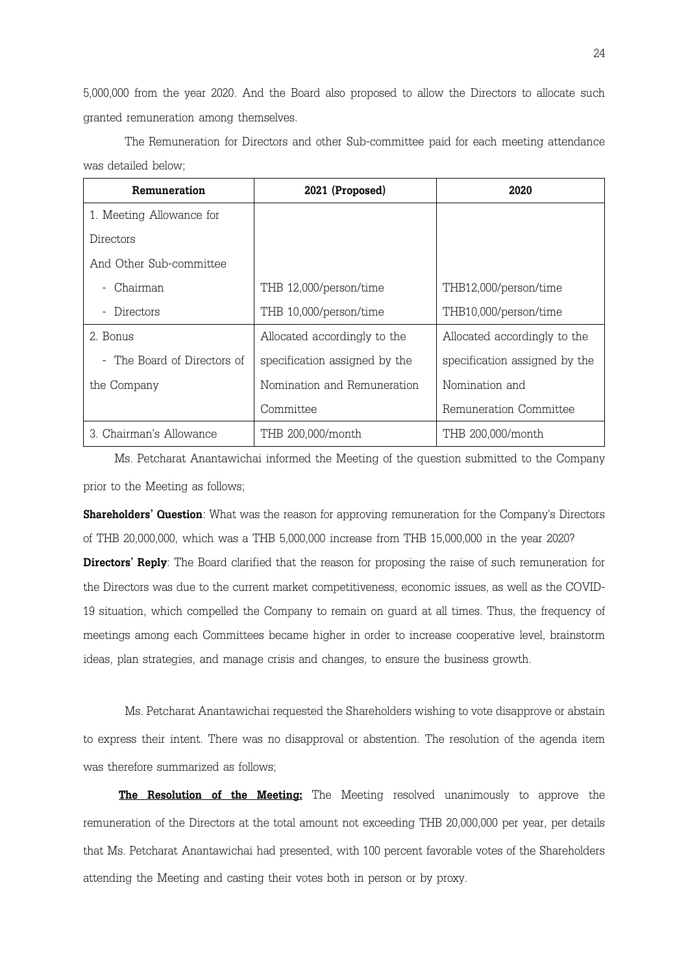5,000,000 from the year 2020. And the Board also proposed to allow the Directors to allocate such granted remuneration among themselves.

| Remuneration              | 2021 (Proposed)               | 2020                          |  |
|---------------------------|-------------------------------|-------------------------------|--|
| 1. Meeting Allowance for  |                               |                               |  |
| Directors                 |                               |                               |  |
| And Other Sub-committee   |                               |                               |  |
| Chairman                  | THB 12,000/person/time        | THB12,000/person/time         |  |
| Directors                 | THB 10,000/person/time        | THB10,000/person/time         |  |
| 2. Bonus                  | Allocated accordingly to the  | Allocated accordingly to the  |  |
| The Board of Directors of | specification assigned by the | specification assigned by the |  |
| the Company               | Nomination and Remuneration   | Nomination and                |  |
|                           | Committee                     | Remuneration Committee        |  |
| 3 Chairman's Allowance    | THB 200,000/month             | THB 200,000/month             |  |

The Remuneration for Directors and other Sub-committee paid for each meeting attendance was detailed below;

 Ms. Petcharat Anantawichai informed the Meeting of the question submitted to the Company prior to the Meeting as follows;

**Shareholders' Question**: What was the reason for approving remuneration for the Company's Directors of THB 20,000,000, which was a THB 5,000,000 increase from THB 15,000,000 in the year 2020?

Directors' Reply: The Board clarified that the reason for proposing the raise of such remuneration for the Directors was due to the current market competitiveness, economic issues, as well as the COVID-19 situation, which compelled the Company to remain on guard at all times. Thus, the frequency of meetings among each Committees became higher in order to increase cooperative level, brainstorm ideas, plan strategies, and manage crisis and changes, to ensure the business growth.

Ms. Petcharat Anantawichai requested the Shareholders wishing to vote disapprove or abstain to express their intent. There was no disapproval or abstention. The resolution of the agenda item was therefore summarized as follows;

The Resolution of the Meeting: The Meeting resolved unanimously to approve the remuneration of the Directors at the total amount not exceeding THB 20,000,000 per year, per details that Ms. Petcharat Anantawichai had presented, with 100 percent favorable votes of the Shareholders attending the Meeting and casting their votes both in person or by proxy.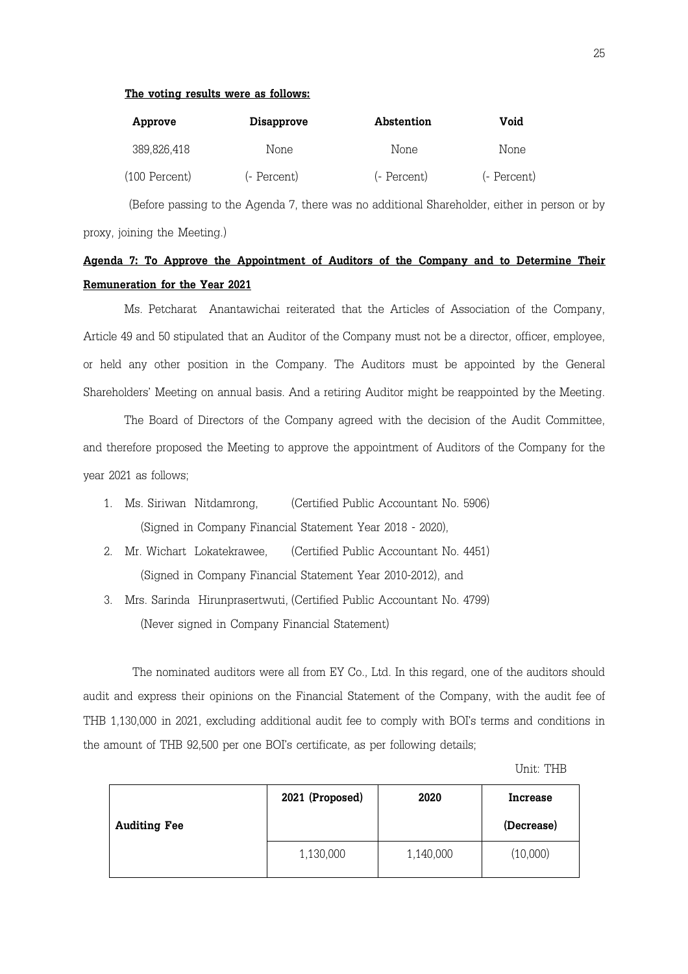#### The voting results were as follows:

| Approve         | <b>Disapprove</b> | Abstention  | Void        |
|-----------------|-------------------|-------------|-------------|
| 389,826,418     | None              | None        | None        |
| $(100$ Percent) | (- Percent)       | (- Percent) | (- Percent) |

 (Before passing to the Agenda 7, there was no additional Shareholder, either in person or by proxy, joining the Meeting.)

## Agenda 7: To Approve the Appointment of Auditors of the Company and to Determine Their Remuneration for the Year 2021

 Ms. Petcharat Anantawichai reiterated that the Articles of Association of the Company, Article 49 and 50 stipulated that an Auditor of the Company must not be a director, officer, employee, or held any other position in the Company. The Auditors must be appointed by the General Shareholders' Meeting on annual basis. And a retiring Auditor might be reappointed by the Meeting.

 The Board of Directors of the Company agreed with the decision of the Audit Committee, and therefore proposed the Meeting to approve the appointment of Auditors of the Company for the year 2021 as follows;

- 1. Ms. Siriwan Nitdamrong, (Certified Public Accountant No. 5906) (Signed in Company Financial Statement Year 2018 - 2020),
- 2. Mr. Wichart Lokatekrawee, (Certified Public Accountant No. 4451) (Signed in Company Financial Statement Year 2010-2012), and
- 3. Mrs. Sarinda Hirunprasertwuti, (Certified Public Accountant No. 4799) (Never signed in Company Financial Statement)

 The nominated auditors were all from EY Co., Ltd. In this regard, one of the auditors should audit and express their opinions on the Financial Statement of the Company, with the audit fee of THB 1,130,000 in 2021, excluding additional audit fee to comply with BOI's terms and conditions in the amount of THB 92,500 per one BOI's certificate, as per following details;

Unit: THB

|                     | 2021 (Proposed) | 2020      | Increase   |
|---------------------|-----------------|-----------|------------|
| <b>Auditing Fee</b> |                 |           | (Decrease) |
|                     | 1,130,000       | 1,140,000 | (10,000)   |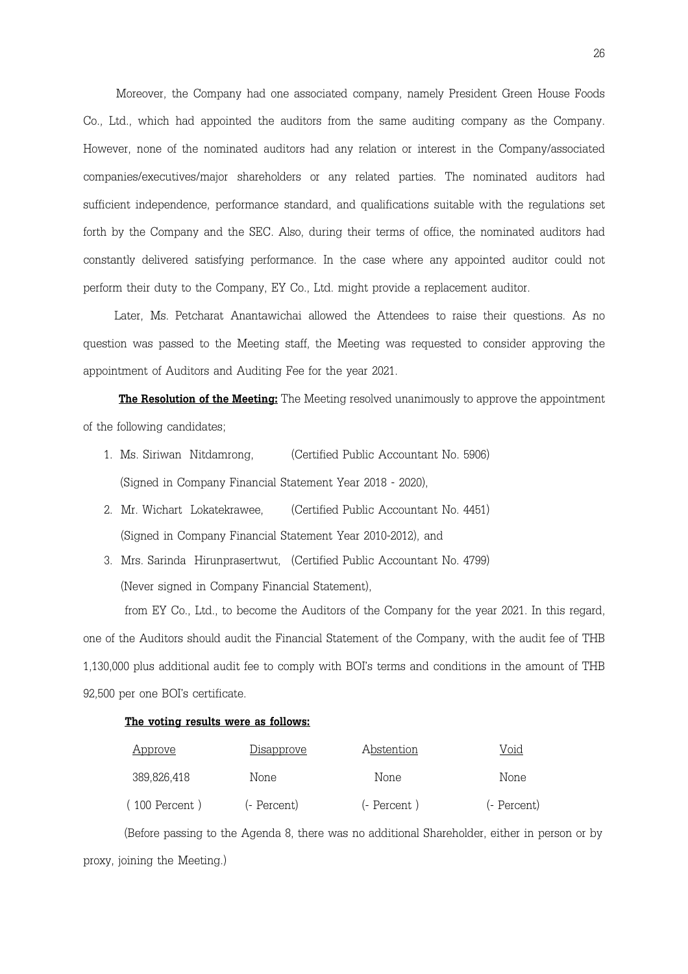Moreover, the Company had one associated company, namely President Green House Foods Co., Ltd., which had appointed the auditors from the same auditing company as the Company. However, none of the nominated auditors had any relation or interest in the Company/associated companies/executives/major shareholders or any related parties. The nominated auditors had sufficient independence, performance standard, and qualifications suitable with the regulations set forth by the Company and the SEC. Also, during their terms of office, the nominated auditors had constantly delivered satisfying performance. In the case where any appointed auditor could not perform their duty to the Company, EY Co., Ltd. might provide a replacement auditor.

 Later, Ms. Petcharat Anantawichai allowed the Attendees to raise their questions. As no question was passed to the Meeting staff, the Meeting was requested to consider approving the appointment of Auditors and Auditing Fee for the year 2021.

The Resolution of the Meeting: The Meeting resolved unanimously to approve the appointment of the following candidates;

- 1. Ms. Siriwan Nitdamrong, (Certified Public Accountant No. 5906) (Signed in Company Financial Statement Year 2018 - 2020),
- 2. Mr. Wichart Lokatekrawee, (Certified Public Accountant No. 4451) (Signed in Company Financial Statement Year 2010-2012), and
- 3. Mrs. Sarinda Hirunprasertwut, (Certified Public Accountant No. 4799) (Never signed in Company Financial Statement),

from EY Co., Ltd., to become the Auditors of the Company for the year 2021. In this regard, one of the Auditors should audit the Financial Statement of the Company, with the audit fee of THB 1,130,000 plus additional audit fee to comply with BOI's terms and conditions in the amount of THB 92,500 per one BOI's certificate.

#### The voting results were as follows:

| <u>Approve</u> | <u>Disapprove</u> | Abstention   | Void        |
|----------------|-------------------|--------------|-------------|
| 389,826,418    | None              | None         | None        |
| 100 Percent)   | (- Percent)       | (- Percent ) | (- Percent) |

 (Before passing to the Agenda 8, there was no additional Shareholder, either in person or by proxy, joining the Meeting.)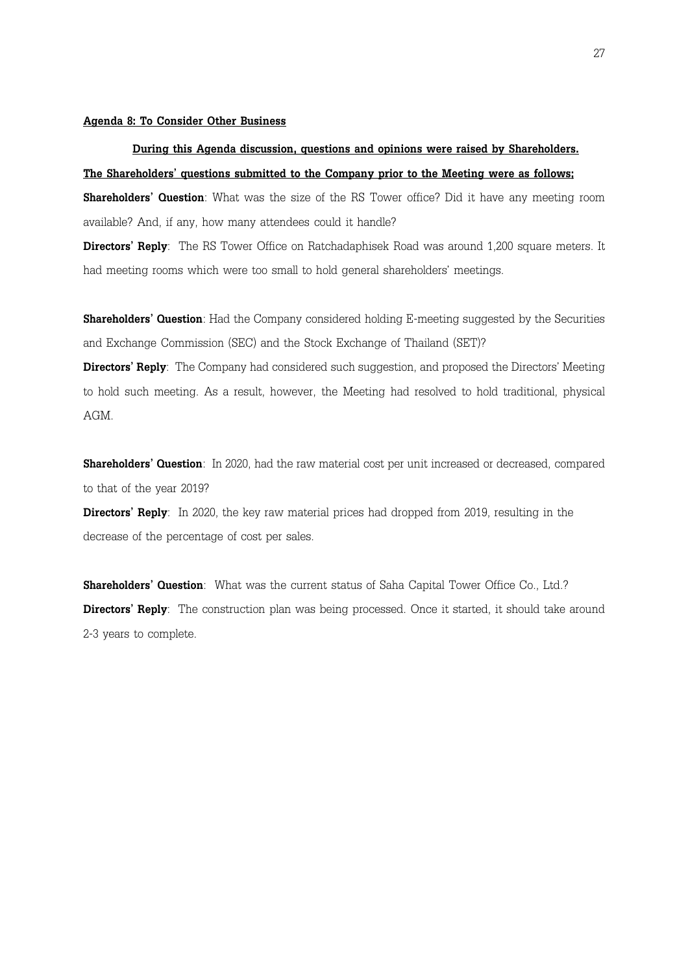#### Agenda 8: To Consider Other Business

## During this Agenda discussion, questions and opinions were raised by Shareholders. The Shareholders' questions submitted to the Company prior to the Meeting were as follows;

**Shareholders' Question**: What was the size of the RS Tower office? Did it have any meeting room available? And, if any, how many attendees could it handle?

Directors' Reply: The RS Tower Office on Ratchadaphisek Road was around 1,200 square meters. It had meeting rooms which were too small to hold general shareholders' meetings.

**Shareholders' Question**: Had the Company considered holding E-meeting suggested by the Securities and Exchange Commission (SEC) and the Stock Exchange of Thailand (SET)?

Directors' Reply: The Company had considered such suggestion, and proposed the Directors' Meeting to hold such meeting. As a result, however, the Meeting had resolved to hold traditional, physical AGM.

Shareholders' Question: In 2020, had the raw material cost per unit increased or decreased, compared to that of the year 2019?

Directors' Reply: In 2020, the key raw material prices had dropped from 2019, resulting in the decrease of the percentage of cost per sales.

Shareholders' Question: What was the current status of Saha Capital Tower Office Co., Ltd.? **Directors' Reply**: The construction plan was being processed. Once it started, it should take around 2-3 years to complete.